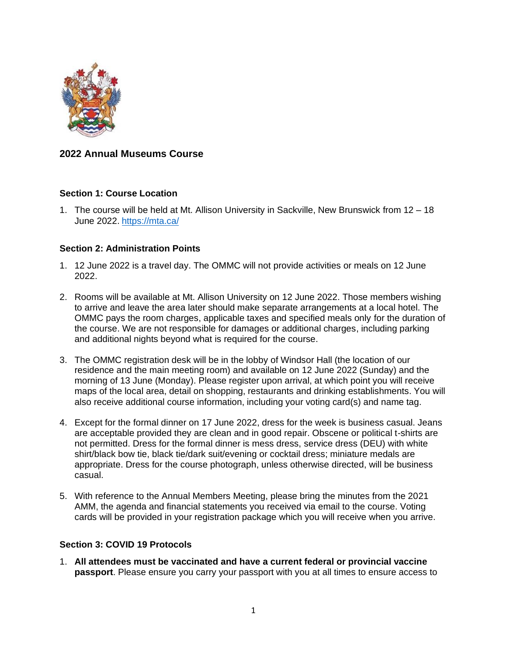

# **2022 Annual Museums Course**

# **Section 1: Course Location**

1. The course will be held at Mt. Allison University in Sackville, New Brunswick from 12 – 18 June 2022. <https://mta.ca/>

#### **Section 2: Administration Points**

- 1. 12 June 2022 is a travel day. The OMMC will not provide activities or meals on 12 June 2022.
- 2. Rooms will be available at Mt. Allison University on 12 June 2022. Those members wishing to arrive and leave the area later should make separate arrangements at a local hotel. The OMMC pays the room charges, applicable taxes and specified meals only for the duration of the course. We are not responsible for damages or additional charges, including parking and additional nights beyond what is required for the course.
- 3. The OMMC registration desk will be in the lobby of Windsor Hall (the location of our residence and the main meeting room) and available on 12 June 2022 (Sunday) and the morning of 13 June (Monday). Please register upon arrival, at which point you will receive maps of the local area, detail on shopping, restaurants and drinking establishments. You will also receive additional course information, including your voting card(s) and name tag.
- 4. Except for the formal dinner on 17 June 2022, dress for the week is business casual. Jeans are acceptable provided they are clean and in good repair. Obscene or political t-shirts are not permitted. Dress for the formal dinner is mess dress, service dress (DEU) with white shirt/black bow tie, black tie/dark suit/evening or cocktail dress; miniature medals are appropriate. Dress for the course photograph, unless otherwise directed, will be business casual.
- 5. With reference to the Annual Members Meeting, please bring the minutes from the 2021 AMM, the agenda and financial statements you received via email to the course. Voting cards will be provided in your registration package which you will receive when you arrive.

#### **Section 3: COVID 19 Protocols**

1. **All attendees must be vaccinated and have a current federal or provincial vaccine passport**. Please ensure you carry your passport with you at all times to ensure access to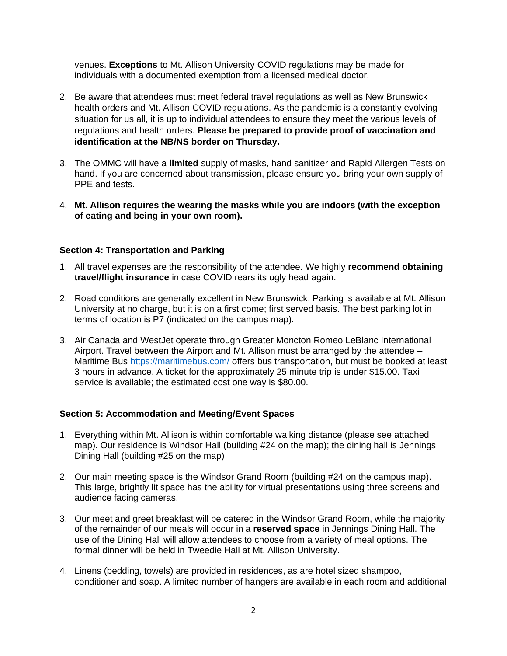venues. **Exceptions** to Mt. Allison University COVID regulations may be made for individuals with a documented exemption from a licensed medical doctor.

- 2. Be aware that attendees must meet federal travel regulations as well as New Brunswick health orders and Mt. Allison COVID regulations. As the pandemic is a constantly evolving situation for us all, it is up to individual attendees to ensure they meet the various levels of regulations and health orders. **Please be prepared to provide proof of vaccination and identification at the NB/NS border on Thursday.**
- 3. The OMMC will have a **limited** supply of masks, hand sanitizer and Rapid Allergen Tests on hand. If you are concerned about transmission, please ensure you bring your own supply of PPE and tests.
- 4. **Mt. Allison requires the wearing the masks while you are indoors (with the exception of eating and being in your own room).**

# **Section 4: Transportation and Parking**

- 1. All travel expenses are the responsibility of the attendee. We highly **recommend obtaining travel/flight insurance** in case COVID rears its ugly head again.
- 2. Road conditions are generally excellent in New Brunswick. Parking is available at Mt. Allison University at no charge, but it is on a first come; first served basis. The best parking lot in terms of location is P7 (indicated on the campus map).
- 3. Air Canada and WestJet operate through Greater Moncton Romeo LeBlanc International Airport. Travel between the Airport and Mt. Allison must be arranged by the attendee – Maritime Bus<https://maritimebus.com/> offers bus transportation, but must be booked at least 3 hours in advance. A ticket for the approximately 25 minute trip is under \$15.00. Taxi service is available; the estimated cost one way is \$80.00.

# **Section 5: Accommodation and Meeting/Event Spaces**

- 1. Everything within Mt. Allison is within comfortable walking distance (please see attached map). Our residence is Windsor Hall (building #24 on the map); the dining hall is Jennings Dining Hall (building #25 on the map)
- 2. Our main meeting space is the Windsor Grand Room (building #24 on the campus map). This large, brightly lit space has the ability for virtual presentations using three screens and audience facing cameras.
- 3. Our meet and greet breakfast will be catered in the Windsor Grand Room, while the majority of the remainder of our meals will occur in a **reserved space** in Jennings Dining Hall. The use of the Dining Hall will allow attendees to choose from a variety of meal options. The formal dinner will be held in Tweedie Hall at Mt. Allison University.
- 4. Linens (bedding, towels) are provided in residences, as are hotel sized shampoo, conditioner and soap. A limited number of hangers are available in each room and additional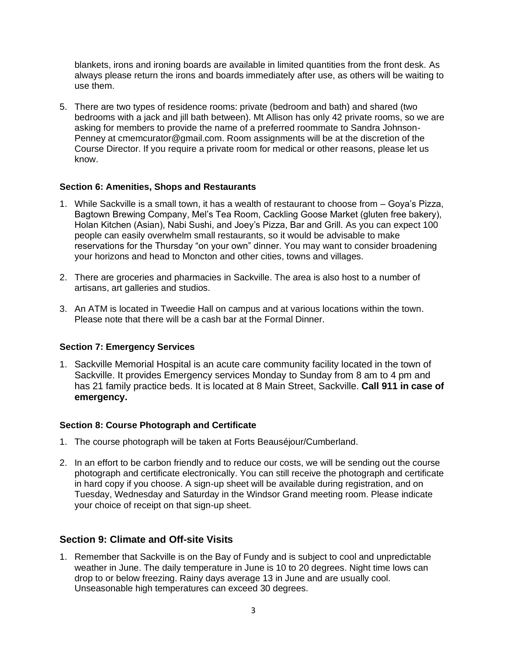blankets, irons and ironing boards are available in limited quantities from the front desk. As always please return the irons and boards immediately after use, as others will be waiting to use them.

5. There are two types of residence rooms: private (bedroom and bath) and shared (two bedrooms with a jack and jill bath between). Mt Allison has only 42 private rooms, so we are asking for members to provide the name of a preferred roommate to Sandra Johnson-Penney at cmemcurator@gmail.com. Room assignments will be at the discretion of the Course Director. If you require a private room for medical or other reasons, please let us know.

# **Section 6: Amenities, Shops and Restaurants**

- 1. While Sackville is a small town, it has a wealth of restaurant to choose from Goya's Pizza, Bagtown Brewing Company, Mel's Tea Room, Cackling Goose Market (gluten free bakery), Holan Kitchen (Asian), Nabi Sushi, and Joey's Pizza, Bar and Grill. As you can expect 100 people can easily overwhelm small restaurants, so it would be advisable to make reservations for the Thursday "on your own" dinner. You may want to consider broadening your horizons and head to Moncton and other cities, towns and villages.
- 2. There are groceries and pharmacies in Sackville. The area is also host to a number of artisans, art galleries and studios.
- 3. An ATM is located in Tweedie Hall on campus and at various locations within the town. Please note that there will be a cash bar at the Formal Dinner.

#### **Section 7: Emergency Services**

1. Sackville Memorial Hospital is an acute care community facility located in the town of Sackville. It provides Emergency services Monday to Sunday from 8 am to 4 pm and has 21 family practice beds. It is located at 8 Main Street, Sackville. **Call 911 in case of emergency.**

#### **Section 8: Course Photograph and Certificate**

- 1. The course photograph will be taken at Forts Beauséjour/Cumberland.
- 2. In an effort to be carbon friendly and to reduce our costs, we will be sending out the course photograph and certificate electronically. You can still receive the photograph and certificate in hard copy if you choose. A sign-up sheet will be available during registration, and on Tuesday, Wednesday and Saturday in the Windsor Grand meeting room. Please indicate your choice of receipt on that sign-up sheet.

# **Section 9: Climate and Off-site Visits**

1. Remember that Sackville is on the Bay of Fundy and is subject to cool and unpredictable weather in June. The daily temperature in June is 10 to 20 degrees. Night time lows can drop to or below freezing. Rainy days average 13 in June and are usually cool. Unseasonable high temperatures can exceed 30 degrees.